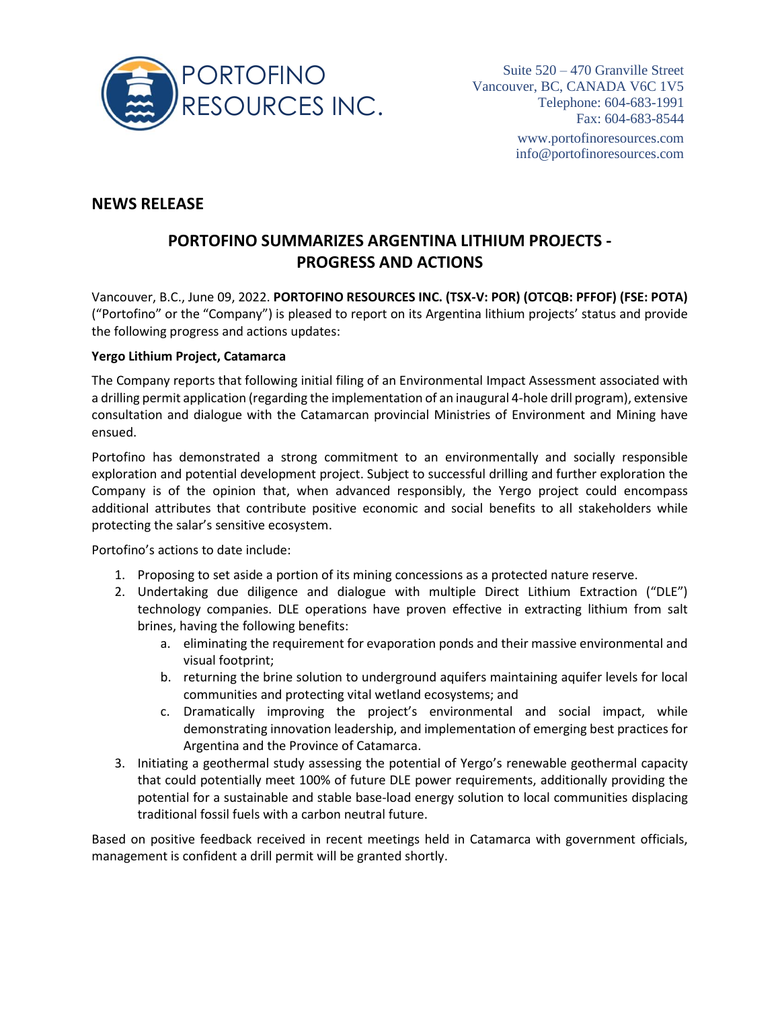

## **NEWS RELEASE**

# **PORTOFINO SUMMARIZES ARGENTINA LITHIUM PROJECTS - PROGRESS AND ACTIONS**

Vancouver, B.C., June 09, 2022. **PORTOFINO RESOURCES INC. (TSX-V: POR) (OTCQB: PFFOF) (FSE: POTA)** ("Portofino" or the "Company") is pleased to report on its Argentina lithium projects' status and provide the following progress and actions updates:

#### **Yergo Lithium Project, Catamarca**

The Company reports that following initial filing of an Environmental Impact Assessment associated with a drilling permit application (regarding the implementation of an inaugural 4-hole drill program), extensive consultation and dialogue with the Catamarcan provincial Ministries of Environment and Mining have ensued.

Portofino has demonstrated a strong commitment to an environmentally and socially responsible exploration and potential development project. Subject to successful drilling and further exploration the Company is of the opinion that, when advanced responsibly, the Yergo project could encompass additional attributes that contribute positive economic and social benefits to all stakeholders while protecting the salar's sensitive ecosystem.

Portofino's actions to date include:

- 1. Proposing to set aside a portion of its mining concessions as a protected nature reserve.
- 2. Undertaking due diligence and dialogue with multiple Direct Lithium Extraction ("DLE") technology companies. DLE operations have proven effective in extracting lithium from salt brines, having the following benefits:
	- a. eliminating the requirement for evaporation ponds and their massive environmental and visual footprint;
	- b. returning the brine solution to underground aquifers maintaining aquifer levels for local communities and protecting vital wetland ecosystems; and
	- c. Dramatically improving the project's environmental and social impact, while demonstrating innovation leadership, and implementation of emerging best practices for Argentina and the Province of Catamarca.
- 3. Initiating a geothermal study assessing the potential of Yergo's renewable geothermal capacity that could potentially meet 100% of future DLE power requirements, additionally providing the potential for a sustainable and stable base-load energy solution to local communities displacing traditional fossil fuels with a carbon neutral future.

Based on positive feedback received in recent meetings held in Catamarca with government officials, management is confident a drill permit will be granted shortly.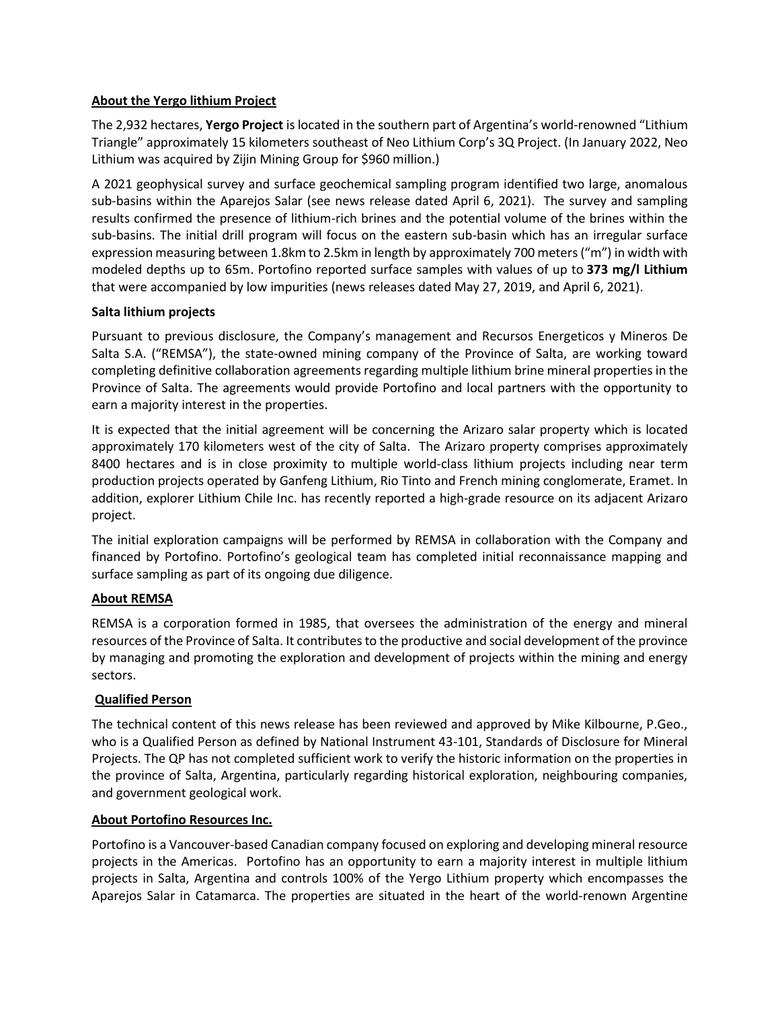#### **About the Yergo lithium Project**

The 2,932 hectares, **Yergo Project** is located in the southern part of Argentina's world-renowned "Lithium Triangle" approximately 15 kilometers southeast of Neo Lithium Corp's 3Q Project. (In January 2022, Neo Lithium was acquired by Zijin Mining Group for \$960 million.)

A 2021 geophysical survey and surface geochemical sampling program identified two large, anomalous sub-basins within the Aparejos Salar (see news release dated April 6, 2021). The survey and sampling results confirmed the presence of lithium-rich brines and the potential volume of the brines within the sub-basins. The initial drill program will focus on the eastern sub-basin which has an irregular surface expression measuring between 1.8km to 2.5km in length by approximately 700 meters ("m") in width with modeled depths up to 65m. Portofino reported surface samples with values of up to **373 mg/l Lithium** that were accompanied by low impurities (news releases dated May 27, 2019, and April 6, 2021).

#### **Salta lithium projects**

Pursuant to previous disclosure, the Company's management and Recursos Energeticos y Mineros De Salta S.A. ("REMSA"), the state-owned mining company of the Province of Salta, are working toward completing definitive collaboration agreements regarding multiple lithium brine mineral properties in the Province of Salta. The agreements would provide Portofino and local partners with the opportunity to earn a majority interest in the properties.

It is expected that the initial agreement will be concerning the Arizaro salar property which is located approximately 170 kilometers west of the city of Salta. The Arizaro property comprises approximately 8400 hectares and is in close proximity to multiple world-class lithium projects including near term production projects operated by Ganfeng Lithium, Rio Tinto and French mining conglomerate, Eramet. In addition, explorer Lithium Chile Inc. has recently reported a high-grade resource on its adjacent Arizaro project.

The initial exploration campaigns will be performed by REMSA in collaboration with the Company and financed by Portofino. Portofino's geological team has completed initial reconnaissance mapping and surface sampling as part of its ongoing due diligence.

### **About REMSA**

REMSA is a corporation formed in 1985, that oversees the administration of the energy and mineral resources of the Province of Salta. It contributes to the productive and social development of the province by managing and promoting the exploration and development of projects within the mining and energy sectors.

### **Qualified Person**

The technical content of this news release has been reviewed and approved by Mike Kilbourne, P.Geo., who is a Qualified Person as defined by National Instrument 43-101, Standards of Disclosure for Mineral Projects. The QP has not completed sufficient work to verify the historic information on the properties in the province of Salta, Argentina, particularly regarding historical exploration, neighbouring companies, and government geological work.

#### **About Portofino Resources Inc.**

Portofino is a Vancouver-based Canadian company focused on exploring and developing mineral resource projects in the Americas. Portofino has an opportunity to earn a majority interest in multiple lithium projects in Salta, Argentina and controls 100% of the Yergo Lithium property which encompasses the Aparejos Salar in Catamarca. The properties are situated in the heart of the world-renown Argentine